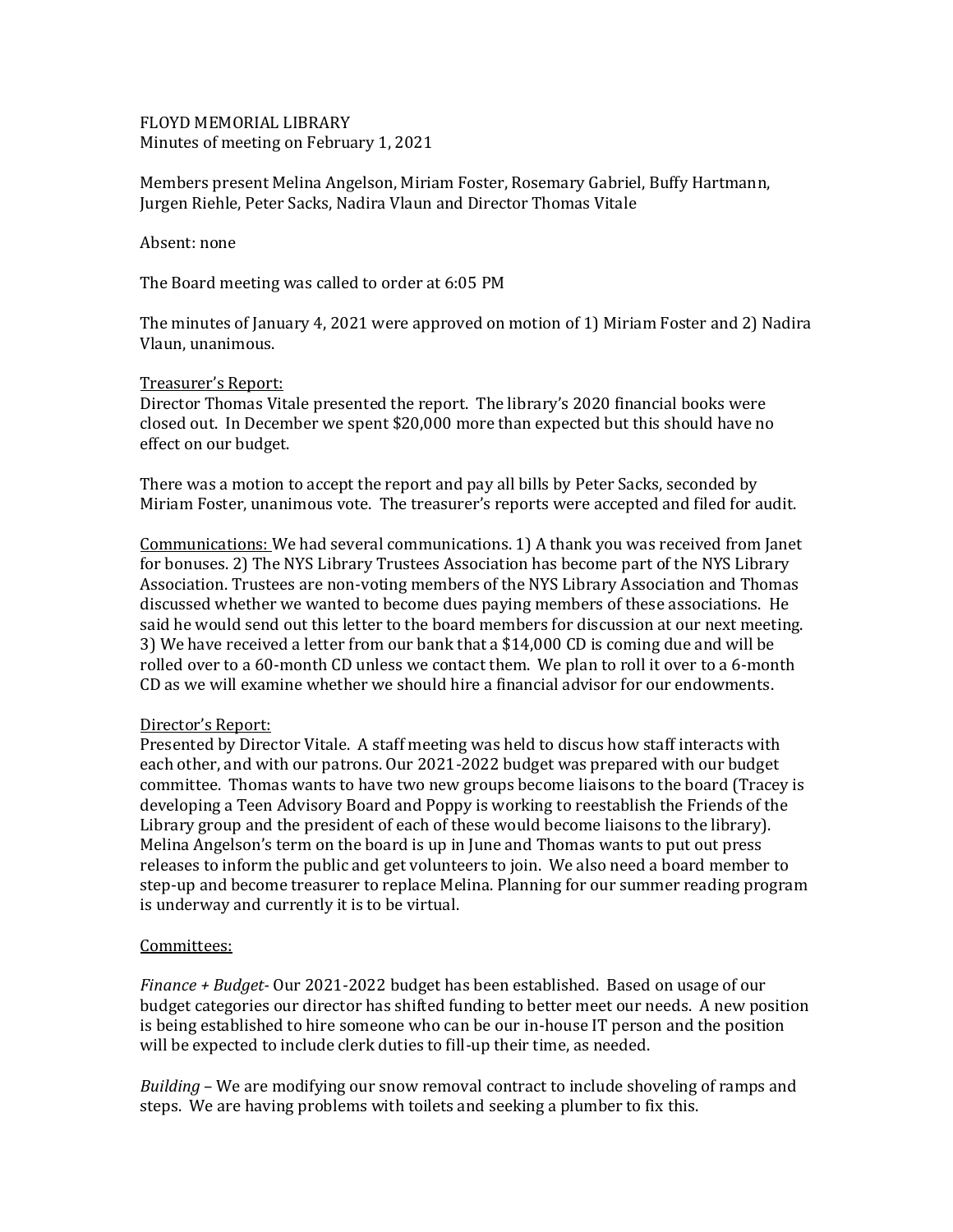FLOYD MEMORIAL LIBRARY Minutes of meeting on February 1, 2021

Members present Melina Angelson, Miriam Foster, Rosemary Gabriel, Buffy Hartmann, Jurgen Riehle, Peter Sacks, Nadira Vlaun and Director Thomas Vitale

Absent: none

The Board meeting was called to order at 6:05 PM

The minutes of January 4, 2021 were approved on motion of 1) Miriam Foster and 2) Nadira Vlaun, unanimous.

## Treasurer's Report:

Director Thomas Vitale presented the report. The library's 2020 financial books were closed out. In December we spent \$20,000 more than expected but this should have no effect on our budget.

There was a motion to accept the report and pay all bills by Peter Sacks, seconded by Miriam Foster, unanimous vote. The treasurer's reports were accepted and filed for audit.

Communications: We had several communications. 1) A thank you was received from Janet for bonuses. 2) The NYS Library Trustees Association has become part of the NYS Library Association. Trustees are non-voting members of the NYS Library Association and Thomas discussed whether we wanted to become dues paying members of these associations. He said he would send out this letter to the board members for discussion at our next meeting. 3) We have received a letter from our bank that a \$14,000 CD is coming due and will be rolled over to a 60-month CD unless we contact them. We plan to roll it over to a 6-month CD as we will examine whether we should hire a financial advisor for our endowments.

## Director's Report:

Presented by Director Vitale. A staff meeting was held to discus how staff interacts with each other, and with our patrons. Our 2021-2022 budget was prepared with our budget committee. Thomas wants to have two new groups become liaisons to the board (Tracey is developing a Teen Advisory Board and Poppy is working to reestablish the Friends of the Library group and the president of each of these would become liaisons to the library). Melina Angelson's term on the board is up in June and Thomas wants to put out press releases to inform the public and get volunteers to join. We also need a board member to step-up and become treasurer to replace Melina. Planning for our summer reading program is underway and currently it is to be virtual.

## Committees:

*Finance + Budget-* Our 2021-2022 budget has been established. Based on usage of our budget categories our director has shifted funding to better meet our needs. A new position is being established to hire someone who can be our in-house IT person and the position will be expected to include clerk duties to fill-up their time, as needed.

*Building* – We are modifying our snow removal contract to include shoveling of ramps and steps. We are having problems with toilets and seeking a plumber to fix this.